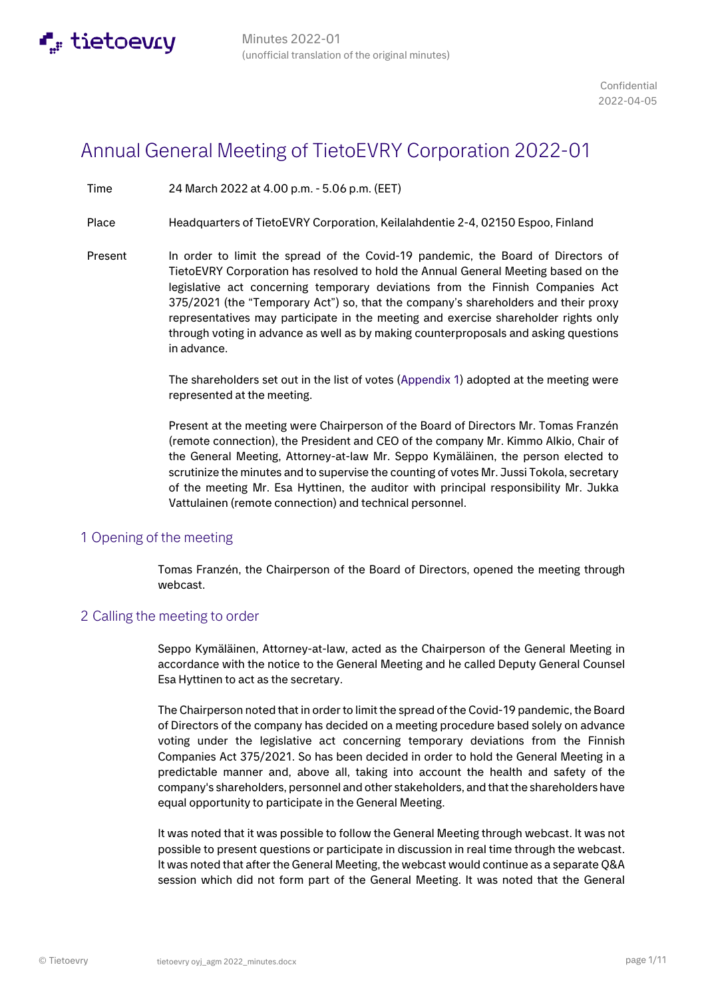

# Annual General Meeting of TietoEVRY Corporation 2022-01

Time 24 March 2022 at 4.00 p.m. - 5.06 p.m. (EET)

- Place Headquarters of TietoEVRY Corporation, Keilalahdentie 2-4, 02150 Espoo, Finland
- Present In order to limit the spread of the Covid-19 pandemic, the Board of Directors of TietoEVRY Corporation has resolved to hold the Annual General Meeting based on the legislative act concerning temporary deviations from the Finnish Companies Act 375/2021 (the "Temporary Act") so, that the company's shareholders and their proxy representatives may participate in the meeting and exercise shareholder rights only through voting in advance as well as by making counterproposals and asking questions in advance.

The shareholders set out in the list of votes (Appendix 1) adopted at the meeting were represented at the meeting.

Present at the meeting were Chairperson of the Board of Directors Mr. Tomas Franzén (remote connection), the President and CEO of the company Mr. Kimmo Alkio, Chair of the General Meeting, Attorney-at-law Mr. Seppo Kymäläinen, the person elected to scrutinize the minutes and to supervise the counting of votes Mr. Jussi Tokola, secretary of the meeting Mr. Esa Hyttinen, the auditor with principal responsibility Mr. Jukka Vattulainen (remote connection) and technical personnel.

### 1 Opening of the meeting

Tomas Franzén, the Chairperson of the Board of Directors, opened the meeting through webcast.

#### 2 Calling the meeting to order

Seppo Kymäläinen, Attorney-at-law, acted as the Chairperson of the General Meeting in accordance with the notice to the General Meeting and he called Deputy General Counsel Esa Hyttinen to act as the secretary.

The Chairperson noted that in order to limit the spread of the Covid-19 pandemic, the Board of Directors of the company has decided on a meeting procedure based solely on advance voting under the legislative act concerning temporary deviations from the Finnish Companies Act 375/2021. So has been decided in order to hold the General Meeting in a predictable manner and, above all, taking into account the health and safety of the company's shareholders, personnel and other stakeholders, and that the shareholders have equal opportunity to participate in the General Meeting.

It was noted that it was possible to follow the General Meeting through webcast. It was not possible to present questions or participate in discussion in real time through the webcast. It was noted that after the General Meeting, the webcast would continue as a separate Q&A session which did not form part of the General Meeting. It was noted that the General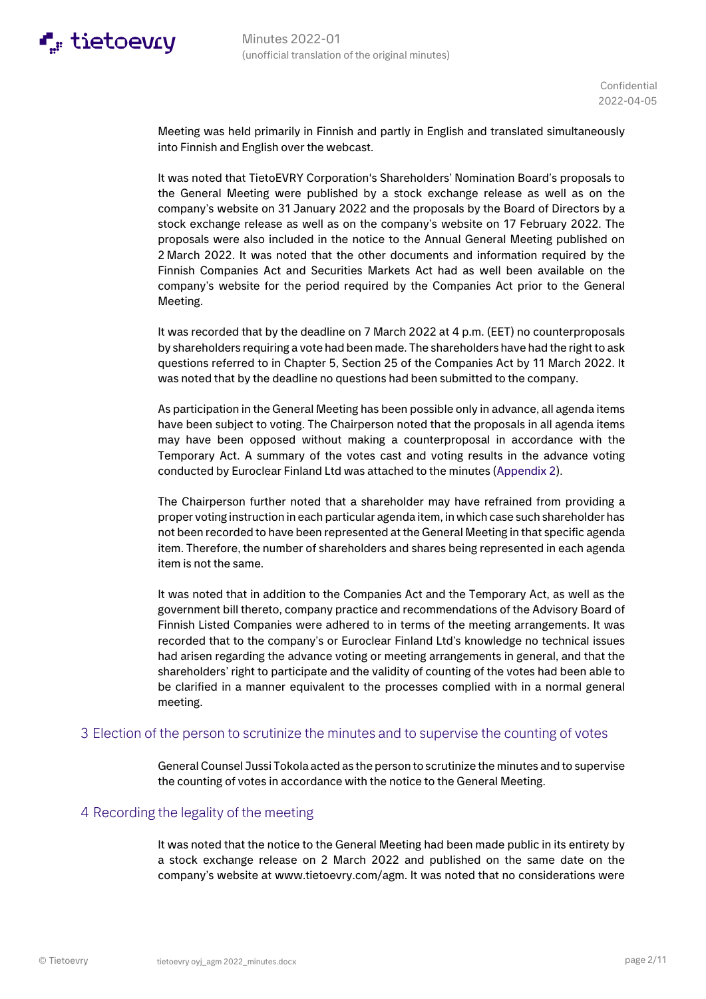

Meeting was held primarily in Finnish and partly in English and translated simultaneously into Finnish and English over the webcast.

It was noted that TietoEVRY Corporation's Shareholders' Nomination Board's proposals to the General Meeting were published by a stock exchange release as well as on the company's website on 31 January 2022 and the proposals by the Board of Directors by a stock exchange release as well as on the company's website on 17 February 2022. The proposals were also included in the notice to the Annual General Meeting published on 2 March 2022. It was noted that the other documents and information required by the Finnish Companies Act and Securities Markets Act had as well been available on the company's website for the period required by the Companies Act prior to the General Meeting.

It was recorded that by the deadline on 7 March 2022 at 4 p.m. (EET) no counterproposals by shareholders requiring a vote had been made. The shareholders have had the right to ask questions referred to in Chapter 5, Section 25 of the Companies Act by 11 March 2022. It was noted that by the deadline no questions had been submitted to the company.

As participation in the General Meeting has been possible only in advance, all agenda items have been subject to voting. The Chairperson noted that the proposals in all agenda items may have been opposed without making a counterproposal in accordance with the Temporary Act. A summary of the votes cast and voting results in the advance voting conducted by Euroclear Finland Ltd was attached to the minutes (Appendix 2).

The Chairperson further noted that a shareholder may have refrained from providing a proper voting instruction in each particular agenda item, in which case such shareholder has not been recorded to have been represented at the General Meeting in that specific agenda item. Therefore, the number of shareholders and shares being represented in each agenda item is not the same.

It was noted that in addition to the Companies Act and the Temporary Act, as well as the government bill thereto, company practice and recommendations of the Advisory Board of Finnish Listed Companies were adhered to in terms of the meeting arrangements. It was recorded that to the company's or Euroclear Finland Ltd's knowledge no technical issues had arisen regarding the advance voting or meeting arrangements in general, and that the shareholders' right to participate and the validity of counting of the votes had been able to be clarified in a manner equivalent to the processes complied with in a normal general meeting.

#### 3 Election of the person to scrutinize the minutes and to supervise the counting of votes

General Counsel Jussi Tokola acted as the person to scrutinize the minutes and to supervise the counting of votes in accordance with the notice to the General Meeting.

#### 4 Recording the legality of the meeting

It was noted that the notice to the General Meeting had been made public in its entirety by a stock exchange release on 2 March 2022 and published on the same date on the company's website at www.tietoevry.com/agm. It was noted that no considerations were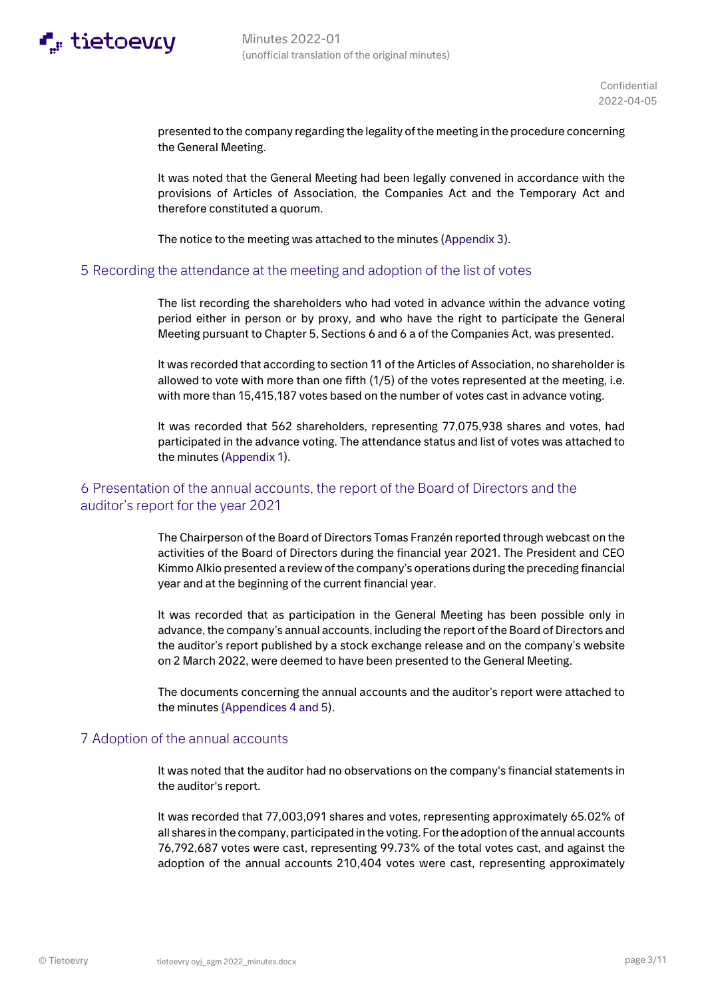

presented to the company regarding the legality of the meeting in the procedure concerning the General Meeting.

It was noted that the General Meeting had been legally convened in accordance with the provisions of Articles of Association, the Companies Act and the Temporary Act and therefore constituted a quorum.

The notice to the meeting was attached to the minutes (Appendix 3).

#### 5 Recording the attendance at the meeting and adoption of the list of votes

The list recording the shareholders who had voted in advance within the advance voting period either in person or by proxy, and who have the right to participate the General Meeting pursuant to Chapter 5, Sections 6 and 6 a of the Companies Act, was presented.

It was recorded that according to section 11 of the Articles of Association, no shareholder is allowed to vote with more than one fifth (1/5) of the votes represented at the meeting, i.e. with more than 15,415,187 votes based on the number of votes cast in advance voting.

It was recorded that 562 shareholders, representing 77,075,938 shares and votes, had participated in the advance voting. The attendance status and list of votes was attached to the minutes (Appendix 1).

## 6 Presentation of the annual accounts, the report of the Board of Directors and the auditor's report for the year 2021

The Chairperson of the Board of Directors Tomas Franzén reported through webcast on the activities of the Board of Directors during the financial year 2021. The President and CEO Kimmo Alkio presented a review of the company's operations during the preceding financial year and at the beginning of the current financial year.

It was recorded that as participation in the General Meeting has been possible only in advance, the company's annual accounts, including the report of the Board of Directors and the auditor's report published by a stock exchange release and on the company's website on 2 March 2022, were deemed to have been presented to the General Meeting.

The documents concerning the annual accounts and the auditor's report were attached to the minutes (Appendices 4 and 5).

#### 7 Adoption of the annual accounts

It was noted that the auditor had no observations on the company's financial statements in the auditor's report.

It was recorded that 77,003,091 shares and votes, representing approximately 65.02% of all shares in the company, participated in the voting. For the adoption of the annual accounts 76,792,687 votes were cast, representing 99.73% of the total votes cast, and against the adoption of the annual accounts 210,404 votes were cast, representing approximately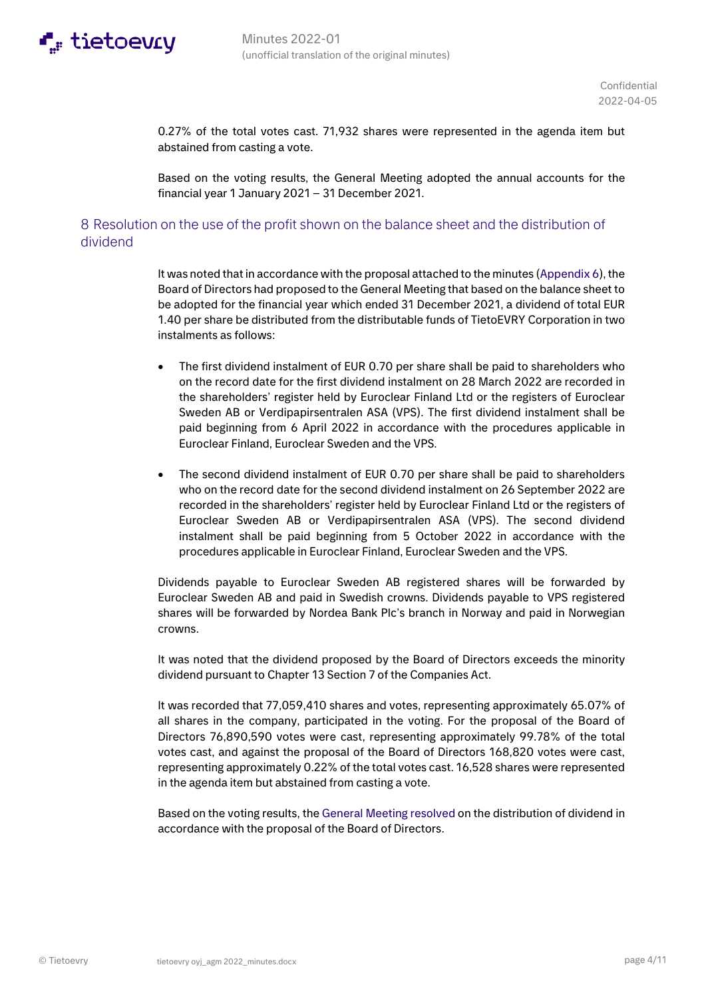

0.27% of the total votes cast. 71,932 shares were represented in the agenda item but abstained from casting a vote.

Based on the voting results, the General Meeting adopted the annual accounts for the financial year 1 January 2021 – 31 December 2021.

## 8 Resolution on the use of the profit shown on the balance sheet and the distribution of dividend

It was noted that in accordance with the proposal attached to the minutes (Appendix 6), the Board of Directors had proposed to the General Meeting that based on the balance sheet to be adopted for the financial year which ended 31 December 2021, a dividend of total EUR 1.40 per share be distributed from the distributable funds of TietoEVRY Corporation in two instalments as follows:

- The first dividend instalment of EUR 0.70 per share shall be paid to shareholders who on the record date for the first dividend instalment on 28 March 2022 are recorded in the shareholders' register held by Euroclear Finland Ltd or the registers of Euroclear Sweden AB or Verdipapirsentralen ASA (VPS). The first dividend instalment shall be paid beginning from 6 April 2022 in accordance with the procedures applicable in Euroclear Finland, Euroclear Sweden and the VPS.
- The second dividend instalment of EUR 0.70 per share shall be paid to shareholders who on the record date for the second dividend instalment on 26 September 2022 are recorded in the shareholders' register held by Euroclear Finland Ltd or the registers of Euroclear Sweden AB or Verdipapirsentralen ASA (VPS). The second dividend instalment shall be paid beginning from 5 October 2022 in accordance with the procedures applicable in Euroclear Finland, Euroclear Sweden and the VPS.

Dividends payable to Euroclear Sweden AB registered shares will be forwarded by Euroclear Sweden AB and paid in Swedish crowns. Dividends payable to VPS registered shares will be forwarded by Nordea Bank Plc's branch in Norway and paid in Norwegian crowns.

It was noted that the dividend proposed by the Board of Directors exceeds the minority dividend pursuant to Chapter 13 Section 7 of the Companies Act.

It was recorded that 77,059,410 shares and votes, representing approximately 65.07% of all shares in the company, participated in the voting. For the proposal of the Board of Directors 76,890,590 votes were cast, representing approximately 99.78% of the total votes cast, and against the proposal of the Board of Directors 168,820 votes were cast, representing approximately 0.22% of the total votes cast. 16,528 shares were represented in the agenda item but abstained from casting a vote.

Based on the voting results, the General Meeting resolved on the distribution of dividend in accordance with the proposal of the Board of Directors.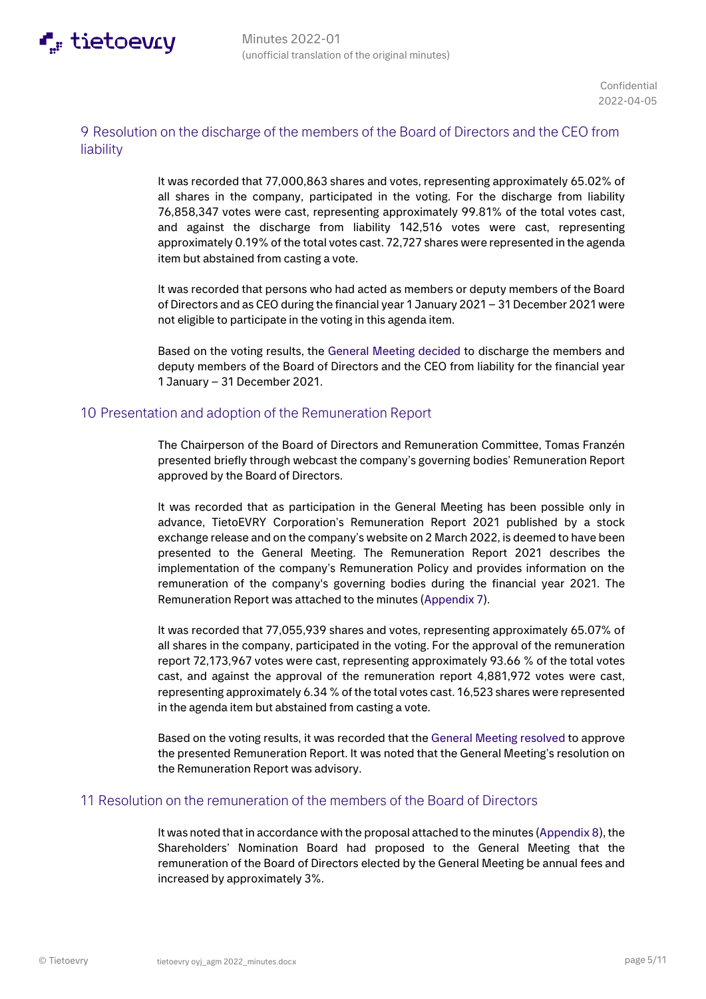

## 9 Resolution on the discharge of the members of the Board of Directors and the CEO from liability

It was recorded that 77,000,863 shares and votes, representing approximately 65.02% of all shares in the company, participated in the voting. For the discharge from liability 76,858,347 votes were cast, representing approximately 99.81% of the total votes cast, and against the discharge from liability 142,516 votes were cast, representing approximately 0.19% of the total votes cast. 72,727 shares were represented in the agenda item but abstained from casting a vote.

It was recorded that persons who had acted as members or deputy members of the Board of Directors and as CEO during the financial year 1 January 2021 – 31 December 2021 were not eligible to participate in the voting in this agenda item.

Based on the voting results, the General Meeting decided to discharge the members and deputy members of the Board of Directors and the CEO from liability for the financial year 1 January – 31 December 2021.

#### 10 Presentation and adoption of the Remuneration Report

The Chairperson of the Board of Directors and Remuneration Committee, Tomas Franzén presented briefly through webcast the company's governing bodies' Remuneration Report approved by the Board of Directors.

It was recorded that as participation in the General Meeting has been possible only in advance, TietoEVRY Corporation's Remuneration Report 2021 published by a stock exchange release and on the company's website on 2 March 2022, is deemed to have been presented to the General Meeting. The Remuneration Report 2021 describes the implementation of the company's Remuneration Policy and provides information on the remuneration of the company's governing bodies during the financial year 2021. The Remuneration Report was attached to the minutes (Appendix 7).

It was recorded that 77,055,939 shares and votes, representing approximately 65.07% of all shares in the company, participated in the voting. For the approval of the remuneration report 72,173,967 votes were cast, representing approximately 93.66 % of the total votes cast, and against the approval of the remuneration report 4,881,972 votes were cast, representing approximately 6.34 % of the total votes cast. 16,523 shares were represented in the agenda item but abstained from casting a vote.

Based on the voting results, it was recorded that the General Meeting resolved to approve the presented Remuneration Report. It was noted that the General Meeting's resolution on the Remuneration Report was advisory.

#### 11 Resolution on the remuneration of the members of the Board of Directors

It was noted that in accordance with the proposal attached to the minutes (Appendix 8), the Shareholders' Nomination Board had proposed to the General Meeting that the remuneration of the Board of Directors elected by the General Meeting be annual fees and increased by approximately 3%.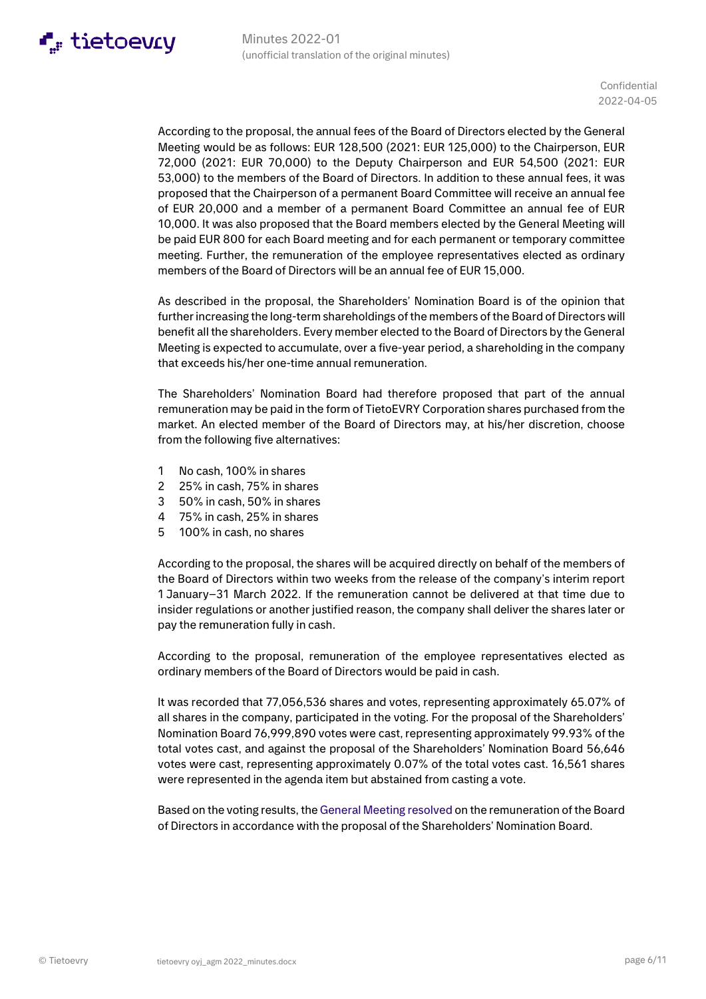

Confidential 2022-04-05

According to the proposal, the annual fees of the Board of Directors elected by the General Meeting would be as follows: EUR 128,500 (2021: EUR 125,000) to the Chairperson, EUR 72,000 (2021: EUR 70,000) to the Deputy Chairperson and EUR 54,500 (2021: EUR 53,000) to the members of the Board of Directors. In addition to these annual fees, it was proposed that the Chairperson of a permanent Board Committee will receive an annual fee of EUR 20,000 and a member of a permanent Board Committee an annual fee of EUR 10,000. It was also proposed that the Board members elected by the General Meeting will be paid EUR 800 for each Board meeting and for each permanent or temporary committee meeting. Further, the remuneration of the employee representatives elected as ordinary members of the Board of Directors will be an annual fee of EUR 15,000.

As described in the proposal, the Shareholders' Nomination Board is of the opinion that further increasing the long-term shareholdings of the members of the Board of Directors will benefit all the shareholders. Every member elected to the Board of Directors by the General Meeting is expected to accumulate, over a five-year period, a shareholding in the company that exceeds his/her one-time annual remuneration.

The Shareholders' Nomination Board had therefore proposed that part of the annual remuneration may be paid in the form of TietoEVRY Corporation shares purchased from the market. An elected member of the Board of Directors may, at his/her discretion, choose from the following five alternatives:

- 1 No cash, 100% in shares
- 2 25% in cash, 75% in shares
- 3 50% in cash, 50% in shares
- 4 75% in cash, 25% in shares
- 5 100% in cash, no shares

According to the proposal, the shares will be acquired directly on behalf of the members of the Board of Directors within two weeks from the release of the company's interim report 1 January–31 March 2022. If the remuneration cannot be delivered at that time due to insider regulations or another justified reason, the company shall deliver the shares later or pay the remuneration fully in cash.

According to the proposal, remuneration of the employee representatives elected as ordinary members of the Board of Directors would be paid in cash.

It was recorded that 77,056,536 shares and votes, representing approximately 65.07% of all shares in the company, participated in the voting. For the proposal of the Shareholders' Nomination Board 76,999,890 votes were cast, representing approximately 99.93% of the total votes cast, and against the proposal of the Shareholders' Nomination Board 56,646 votes were cast, representing approximately 0.07% of the total votes cast. 16,561 shares were represented in the agenda item but abstained from casting a vote.

Based on the voting results, the General Meeting resolved on the remuneration of the Board of Directors in accordance with the proposal of the Shareholders' Nomination Board.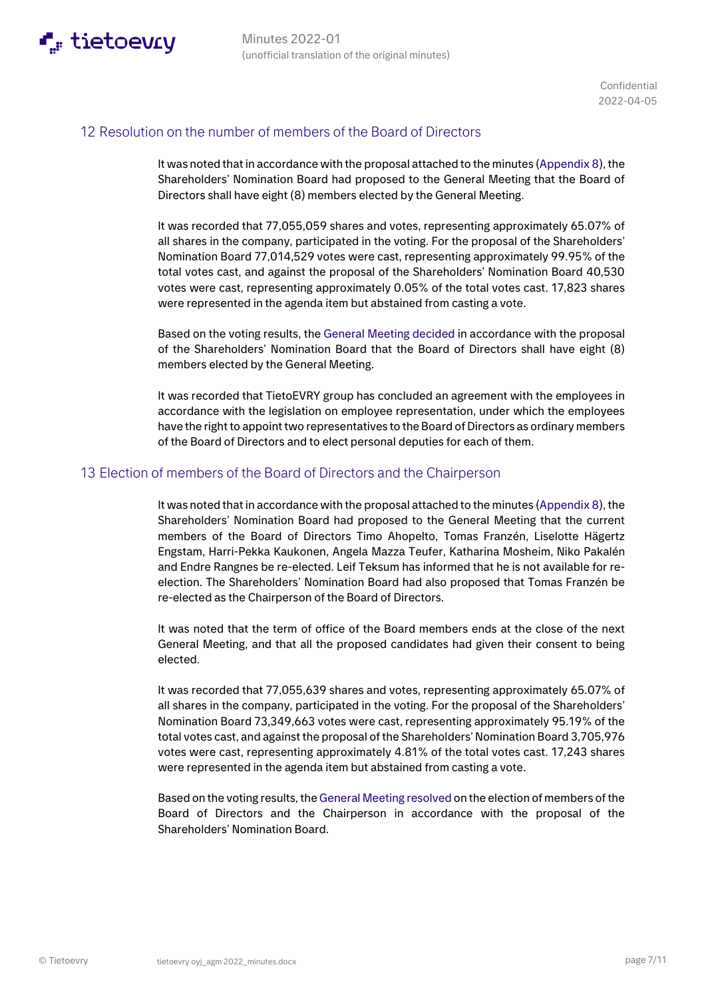

#### 12 Resolution on the number of members of the Board of Directors

It was noted that in accordance with the proposal attached to the minutes (Appendix 8), the Shareholders' Nomination Board had proposed to the General Meeting that the Board of Directors shall have eight (8) members elected by the General Meeting.

It was recorded that 77,055,059 shares and votes, representing approximately 65.07% of all shares in the company, participated in the voting. For the proposal of the Shareholders' Nomination Board 77,014,529 votes were cast, representing approximately 99.95% of the total votes cast, and against the proposal of the Shareholders' Nomination Board 40,530 votes were cast, representing approximately 0.05% of the total votes cast. 17,823 shares were represented in the agenda item but abstained from casting a vote.

Based on the voting results, the General Meeting decided in accordance with the proposal of the Shareholders' Nomination Board that the Board of Directors shall have eight (8) members elected by the General Meeting.

It was recorded that TietoEVRY group has concluded an agreement with the employees in accordance with the legislation on employee representation, under which the employees have the right to appoint two representatives to the Board of Directors as ordinary members of the Board of Directors and to elect personal deputies for each of them.

#### 13 Election of members of the Board of Directors and the Chairperson

It was noted that in accordance with the proposal attached to the minutes (Appendix 8), the Shareholders' Nomination Board had proposed to the General Meeting that the current members of the Board of Directors Timo Ahopelto, Tomas Franzén, Liselotte Hägertz Engstam, Harri-Pekka Kaukonen, Angela Mazza Teufer, Katharina Mosheim, Niko Pakalén and Endre Rangnes be re-elected. Leif Teksum has informed that he is not available for reelection. The Shareholders' Nomination Board had also proposed that Tomas Franzén be re-elected as the Chairperson of the Board of Directors.

It was noted that the term of office of the Board members ends at the close of the next General Meeting, and that all the proposed candidates had given their consent to being elected.

It was recorded that 77,055,639 shares and votes, representing approximately 65.07% of all shares in the company, participated in the voting. For the proposal of the Shareholders' Nomination Board 73,349,663 votes were cast, representing approximately 95.19% of the total votes cast, and against the proposal of the Shareholders' Nomination Board 3,705,976 votes were cast, representing approximately 4.81% of the total votes cast. 17,243 shares were represented in the agenda item but abstained from casting a vote.

Based on the voting results, the General Meeting resolved on the election of members of the Board of Directors and the Chairperson in accordance with the proposal of the Shareholders' Nomination Board.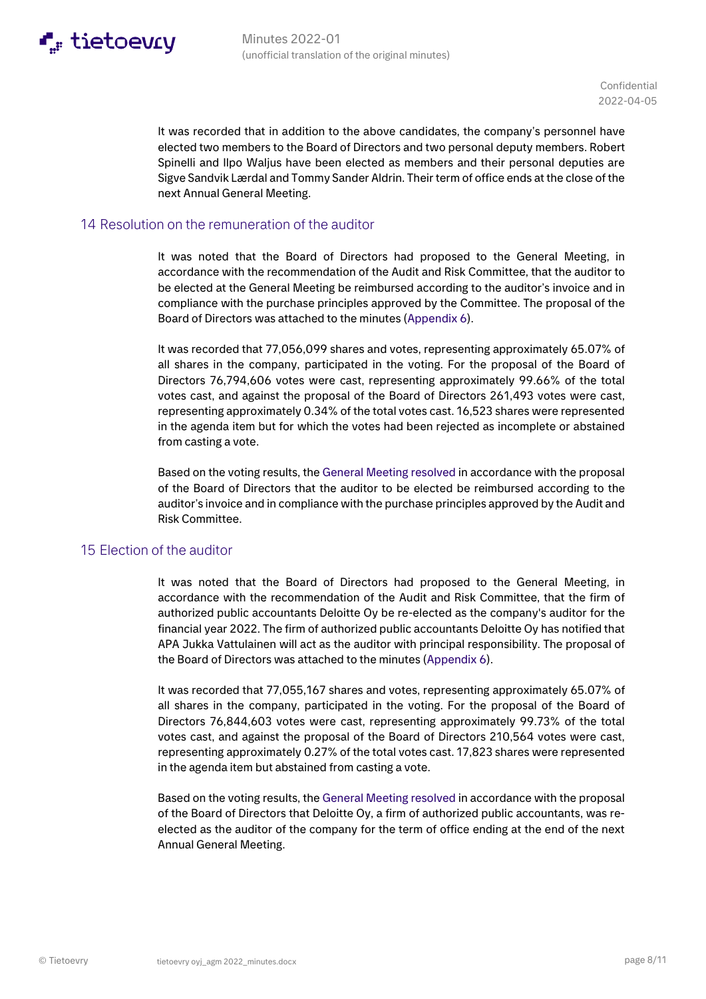

It was recorded that in addition to the above candidates, the company's personnel have elected two members to the Board of Directors and two personal deputy members. Robert Spinelli and Ilpo Waljus have been elected as members and their personal deputies are Sigve Sandvik Lærdal and Tommy Sander Aldrin. Their term of office ends at the close of the next Annual General Meeting.

#### 14 Resolution on the remuneration of the auditor

It was noted that the Board of Directors had proposed to the General Meeting, in accordance with the recommendation of the Audit and Risk Committee, that the auditor to be elected at the General Meeting be reimbursed according to the auditor's invoice and in compliance with the purchase principles approved by the Committee. The proposal of the Board of Directors was attached to the minutes (Appendix 6).

It was recorded that 77,056,099 shares and votes, representing approximately 65.07% of all shares in the company, participated in the voting. For the proposal of the Board of Directors 76,794,606 votes were cast, representing approximately 99.66% of the total votes cast, and against the proposal of the Board of Directors 261,493 votes were cast, representing approximately 0.34% of the total votes cast. 16,523 shares were represented in the agenda item but for which the votes had been rejected as incomplete or abstained from casting a vote.

Based on the voting results, the General Meeting resolved in accordance with the proposal of the Board of Directors that the auditor to be elected be reimbursed according to the auditor's invoice and in compliance with the purchase principles approved by the Audit and Risk Committee.

### 15 Election of the auditor

It was noted that the Board of Directors had proposed to the General Meeting, in accordance with the recommendation of the Audit and Risk Committee, that the firm of authorized public accountants Deloitte Oy be re-elected as the company's auditor for the financial year 2022. The firm of authorized public accountants Deloitte Oy has notified that APA Jukka Vattulainen will act as the auditor with principal responsibility. The proposal of the Board of Directors was attached to the minutes (Appendix 6).

It was recorded that 77,055,167 shares and votes, representing approximately 65.07% of all shares in the company, participated in the voting. For the proposal of the Board of Directors 76,844,603 votes were cast, representing approximately 99.73% of the total votes cast, and against the proposal of the Board of Directors 210,564 votes were cast, representing approximately 0.27% of the total votes cast. 17,823 shares were represented in the agenda item but abstained from casting a vote.

Based on the voting results, the General Meeting resolved in accordance with the proposal of the Board of Directors that Deloitte Oy, a firm of authorized public accountants, was reelected as the auditor of the company for the term of office ending at the end of the next Annual General Meeting.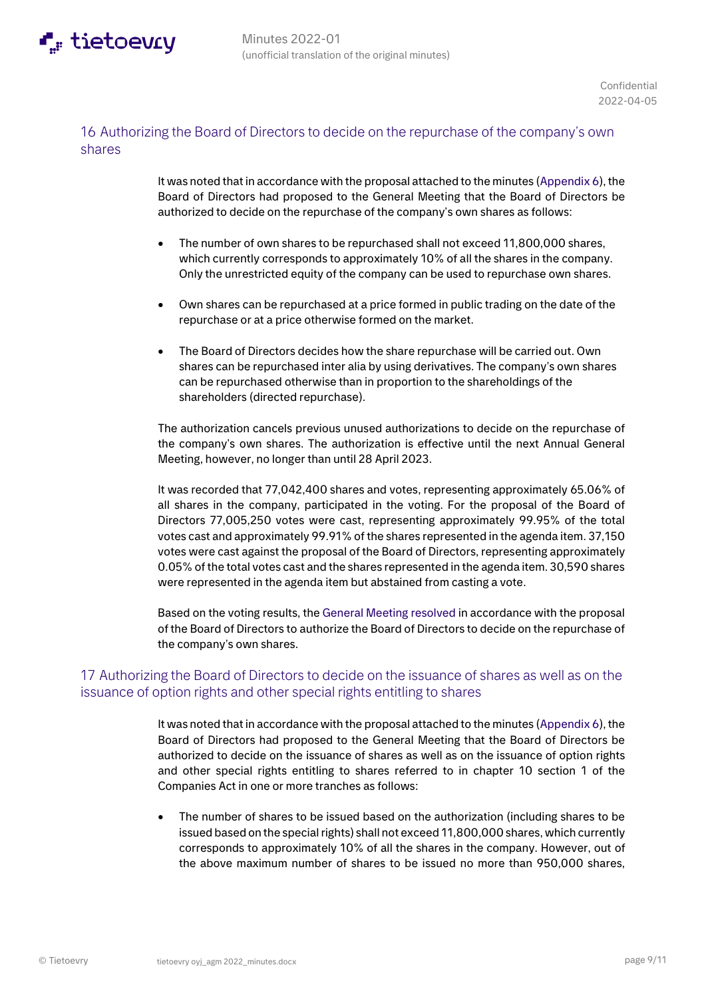

## 16 Authorizing the Board of Directors to decide on the repurchase of the company's own shares

It was noted that in accordance with the proposal attached to the minutes (Appendix 6), the Board of Directors had proposed to the General Meeting that the Board of Directors be authorized to decide on the repurchase of the company's own shares as follows:

- The number of own shares to be repurchased shall not exceed 11,800,000 shares, which currently corresponds to approximately 10% of all the shares in the company. Only the unrestricted equity of the company can be used to repurchase own shares.
- Own shares can be repurchased at a price formed in public trading on the date of the repurchase or at a price otherwise formed on the market.
- The Board of Directors decides how the share repurchase will be carried out. Own shares can be repurchased inter alia by using derivatives. The company's own shares can be repurchased otherwise than in proportion to the shareholdings of the shareholders (directed repurchase).

The authorization cancels previous unused authorizations to decide on the repurchase of the company's own shares. The authorization is effective until the next Annual General Meeting, however, no longer than until 28 April 2023.

It was recorded that 77,042,400 shares and votes, representing approximately 65.06% of all shares in the company, participated in the voting. For the proposal of the Board of Directors 77,005,250 votes were cast, representing approximately 99.95% of the total votes cast and approximately 99.91% of the shares represented in the agenda item. 37,150 votes were cast against the proposal of the Board of Directors, representing approximately 0.05% of the total votes cast and the shares represented in the agenda item. 30,590 shares were represented in the agenda item but abstained from casting a vote.

Based on the voting results, the General Meeting resolved in accordance with the proposal of the Board of Directors to authorize the Board of Directors to decide on the repurchase of the company's own shares.

## 17 Authorizing the Board of Directors to decide on the issuance of shares as well as on the issuance of option rights and other special rights entitling to shares

It was noted that in accordance with the proposal attached to the minutes (Appendix 6), the Board of Directors had proposed to the General Meeting that the Board of Directors be authorized to decide on the issuance of shares as well as on the issuance of option rights and other special rights entitling to shares referred to in chapter 10 section 1 of the Companies Act in one or more tranches as follows:

The number of shares to be issued based on the authorization (including shares to be issued based on the special rights) shall not exceed 11,800,000 shares, which currently corresponds to approximately 10% of all the shares in the company. However, out of the above maximum number of shares to be issued no more than 950,000 shares,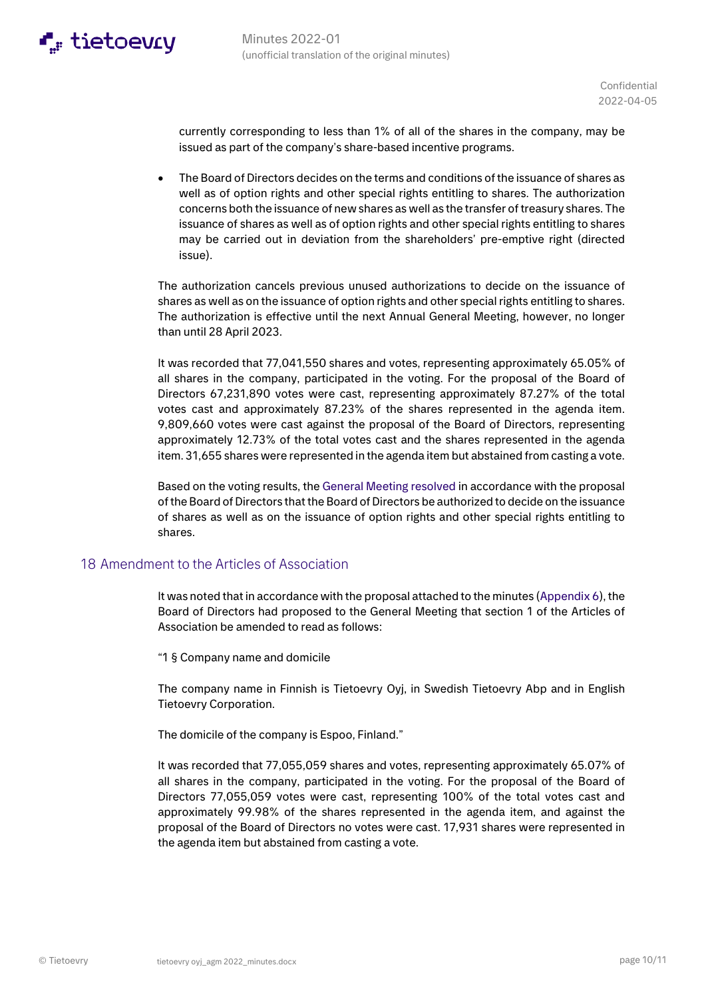

currently corresponding to less than 1% of all of the shares in the company, may be issued as part of the company's share-based incentive programs.

• The Board of Directors decides on the terms and conditions of the issuance of shares as well as of option rights and other special rights entitling to shares. The authorization concerns both the issuance of new shares as well as the transfer of treasury shares. The issuance of shares as well as of option rights and other special rights entitling to shares may be carried out in deviation from the shareholders' pre-emptive right (directed issue).

The authorization cancels previous unused authorizations to decide on the issuance of shares as well as on the issuance of option rights and other special rights entitling to shares. The authorization is effective until the next Annual General Meeting, however, no longer than until 28 April 2023.

It was recorded that 77,041,550 shares and votes, representing approximately 65.05% of all shares in the company, participated in the voting. For the proposal of the Board of Directors 67,231,890 votes were cast, representing approximately 87.27% of the total votes cast and approximately 87.23% of the shares represented in the agenda item. 9,809,660 votes were cast against the proposal of the Board of Directors, representing approximately 12.73% of the total votes cast and the shares represented in the agenda item. 31,655 shares were represented in the agenda item but abstained from casting a vote.

Based on the voting results, the General Meeting resolved in accordance with the proposal of the Board of Directors that the Board of Directors be authorized to decide on the issuance of shares as well as on the issuance of option rights and other special rights entitling to shares.

#### 18 Amendment to the Articles of Association

It was noted that in accordance with the proposal attached to the minutes (Appendix 6), the Board of Directors had proposed to the General Meeting that section 1 of the Articles of Association be amended to read as follows:

"1 § Company name and domicile

The company name in Finnish is Tietoevry Oyj, in Swedish Tietoevry Abp and in English Tietoevry Corporation.

The domicile of the company is Espoo, Finland."

It was recorded that 77,055,059 shares and votes, representing approximately 65.07% of all shares in the company, participated in the voting. For the proposal of the Board of Directors 77,055,059 votes were cast, representing 100% of the total votes cast and approximately 99.98% of the shares represented in the agenda item, and against the proposal of the Board of Directors no votes were cast. 17,931 shares were represented in the agenda item but abstained from casting a vote.